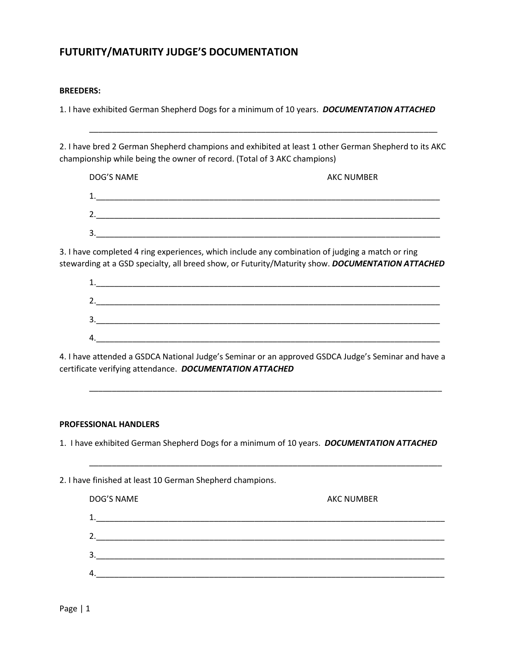## **FUTURITY/MATURITY JUDGE'S DOCUMENTATION**

## **BREEDERS:**

1. I have exhibited German Shepherd Dogs for a minimum of 10 years. *DOCUMENTATION ATTACHED*

2. I have bred 2 German Shepherd champions and exhibited at least 1 other German Shepherd to its AKC championship while being the owner of record. (Total of 3 AKC champions)

\_\_\_\_\_\_\_\_\_\_\_\_\_\_\_\_\_\_\_\_\_\_\_\_\_\_\_\_\_\_\_\_\_\_\_\_\_\_\_\_\_\_\_\_\_\_\_\_\_\_\_\_\_\_\_\_\_\_\_\_\_\_\_\_\_\_\_\_\_\_\_\_\_\_\_\_\_

| DOG'S NAME | <b>AKC NUMBER</b> |  |  |
|------------|-------------------|--|--|
| 1.         |                   |  |  |
| 2.         |                   |  |  |
| 3.         |                   |  |  |

3. I have completed 4 ring experiences, which include any combination of judging a match or ring stewarding at a GSD specialty, all breed show, or Futurity/Maturity show. *DOCUMENTATION ATTACHED*

| 1<br>⊥. |  |  |  |
|---------|--|--|--|
| 2.      |  |  |  |
| 3.      |  |  |  |
| 4.      |  |  |  |

\_\_\_\_\_\_\_\_\_\_\_\_\_\_\_\_\_\_\_\_\_\_\_\_\_\_\_\_\_\_\_\_\_\_\_\_\_\_\_\_\_\_\_\_\_\_\_\_\_\_\_\_\_\_\_\_\_\_\_\_\_\_\_\_\_\_\_\_\_\_\_\_\_\_\_\_\_\_

\_\_\_\_\_\_\_\_\_\_\_\_\_\_\_\_\_\_\_\_\_\_\_\_\_\_\_\_\_\_\_\_\_\_\_\_\_\_\_\_\_\_\_\_\_\_\_\_\_\_\_\_\_\_\_\_\_\_\_\_\_\_\_\_\_\_\_\_\_\_\_\_\_\_\_\_\_\_

4. I have attended a GSDCA National Judge's Seminar or an approved GSDCA Judge's Seminar and have a certificate verifying attendance. *DOCUMENTATION ATTACHED*

## **PROFESSIONAL HANDLERS**

1. I have exhibited German Shepherd Dogs for a minimum of 10 years. *DOCUMENTATION ATTACHED*

2. I have finished at least 10 German Shepherd champions. DOG'S NAME AKC NUMBER 1.\_\_\_\_\_\_\_\_\_\_\_\_\_\_\_\_\_\_\_\_\_\_\_\_\_\_\_\_\_\_\_\_\_\_\_\_\_\_\_\_\_\_\_\_\_\_\_\_\_\_\_\_\_\_\_\_\_\_\_\_\_\_\_\_\_\_\_\_\_\_\_\_\_\_\_\_\_ 2.  $3.$  $4.$